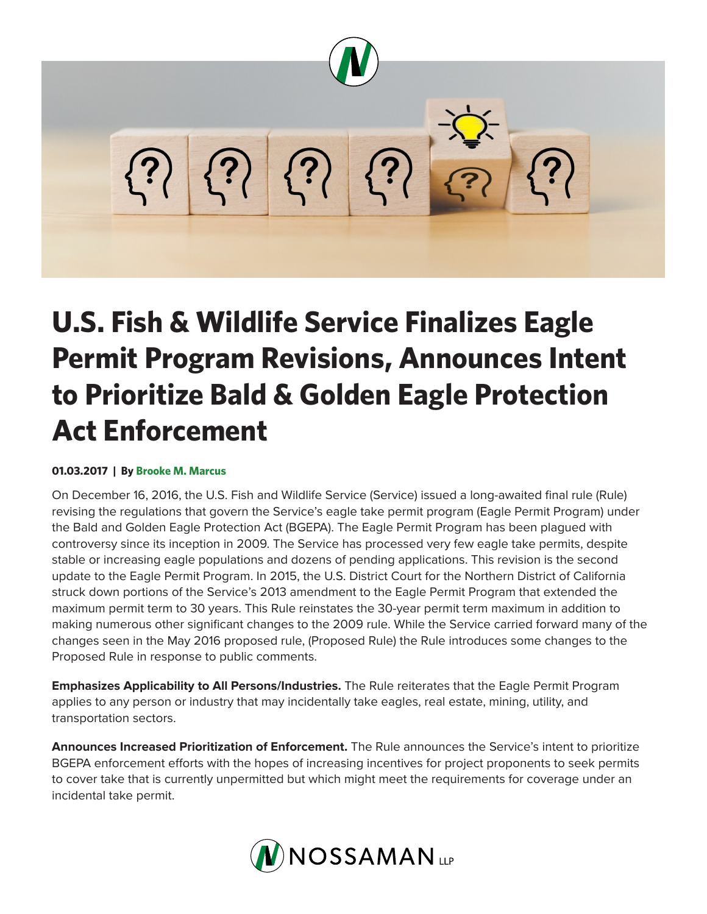

## **U.S. Fish & Wildlife Service Finalizes Eagle Permit Program Revisions, Announces Intent to Prioritize Bald & Golden Eagle Protection Act Enforcement**

## **01.03.2017 | By Brooke M. Marcus**

On December 16, 2016, the U.S. Fish and Wildlife Service (Service) issued a long-awaited final rule (Rule) revising the regulations that govern the Service's eagle take permit program (Eagle Permit Program) under the Bald and Golden Eagle Protection Act (BGEPA). The Eagle Permit Program has been plagued with controversy since its inception in 2009. The Service has processed very few eagle take permits, despite stable or increasing eagle populations and dozens of pending applications. This revision is the second update to the Eagle Permit Program. In 2015, the U.S. District Court for the Northern District of California struck down portions of the Service's 2013 amendment to the Eagle Permit Program that extended the maximum permit term to 30 years. This Rule reinstates the 30-year permit term maximum in addition to making numerous other significant changes to the 2009 rule. While the Service carried forward many of the changes seen in the May 2016 proposed rule, (Proposed Rule) the Rule introduces some changes to the Proposed Rule in response to public comments.

**Emphasizes Applicability to All Persons/Industries.** The Rule reiterates that the Eagle Permit Program applies to any person or industry that may incidentally take eagles, real estate, mining, utility, and transportation sectors.

**Announces Increased Prioritization of Enforcement.** The Rule announces the Service's intent to prioritize BGEPA enforcement efforts with the hopes of increasing incentives for project proponents to seek permits to cover take that is currently unpermitted but which might meet the requirements for coverage under an incidental take permit.

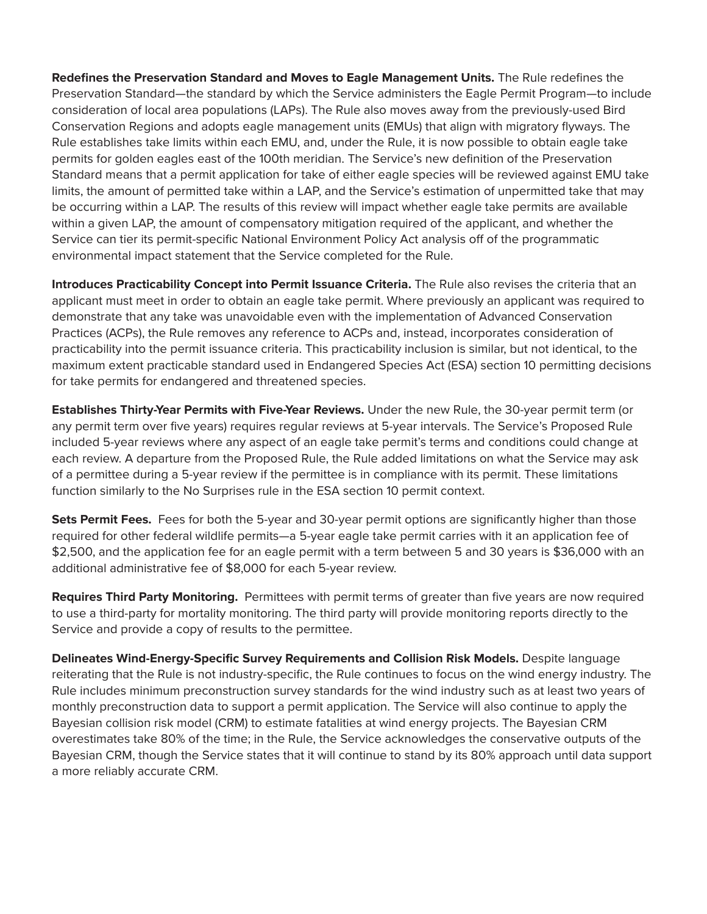**Redefines the Preservation Standard and Moves to Eagle Management Units.** The Rule redefines the Preservation Standard—the standard by which the Service administers the Eagle Permit Program—to include consideration of local area populations (LAPs). The Rule also moves away from the previously-used Bird Conservation Regions and adopts eagle management units (EMUs) that align with migratory flyways. The Rule establishes take limits within each EMU, and, under the Rule, it is now possible to obtain eagle take permits for golden eagles east of the 100th meridian. The Service's new definition of the Preservation Standard means that a permit application for take of either eagle species will be reviewed against EMU take limits, the amount of permitted take within a LAP, and the Service's estimation of unpermitted take that may be occurring within a LAP. The results of this review will impact whether eagle take permits are available within a given LAP, the amount of compensatory mitigation required of the applicant, and whether the Service can tier its permit-specific National Environment Policy Act analysis off of the programmatic environmental impact statement that the Service completed for the Rule.

**Introduces Practicability Concept into Permit Issuance Criteria.** The Rule also revises the criteria that an applicant must meet in order to obtain an eagle take permit. Where previously an applicant was required to demonstrate that any take was unavoidable even with the implementation of Advanced Conservation Practices (ACPs), the Rule removes any reference to ACPs and, instead, incorporates consideration of practicability into the permit issuance criteria. This practicability inclusion is similar, but not identical, to the maximum extent practicable standard used in Endangered Species Act (ESA) section 10 permitting decisions for take permits for endangered and threatened species.

**Establishes Thirty-Year Permits with Five-Year Reviews.** Under the new Rule, the 30-year permit term (or any permit term over five years) requires regular reviews at 5-year intervals. The Service's Proposed Rule included 5-year reviews where any aspect of an eagle take permit's terms and conditions could change at each review. A departure from the Proposed Rule, the Rule added limitations on what the Service may ask of a permittee during a 5-year review if the permittee is in compliance with its permit. These limitations function similarly to the No Surprises rule in the ESA section 10 permit context.

**Sets Permit Fees.** Fees for both the 5-year and 30-year permit options are significantly higher than those required for other federal wildlife permits—a 5-year eagle take permit carries with it an application fee of \$2,500, and the application fee for an eagle permit with a term between 5 and 30 years is \$36,000 with an additional administrative fee of \$8,000 for each 5-year review.

**Requires Third Party Monitoring.** Permittees with permit terms of greater than five years are now required to use a third-party for mortality monitoring. The third party will provide monitoring reports directly to the Service and provide a copy of results to the permittee.

**Delineates Wind-Energy-Specific Survey Requirements and Collision Risk Models.** Despite language reiterating that the Rule is not industry-specific, the Rule continues to focus on the wind energy industry. The Rule includes minimum preconstruction survey standards for the wind industry such as at least two years of monthly preconstruction data to support a permit application. The Service will also continue to apply the Bayesian collision risk model (CRM) to estimate fatalities at wind energy projects. The Bayesian CRM overestimates take 80% of the time; in the Rule, the Service acknowledges the conservative outputs of the Bayesian CRM, though the Service states that it will continue to stand by its 80% approach until data support a more reliably accurate CRM.